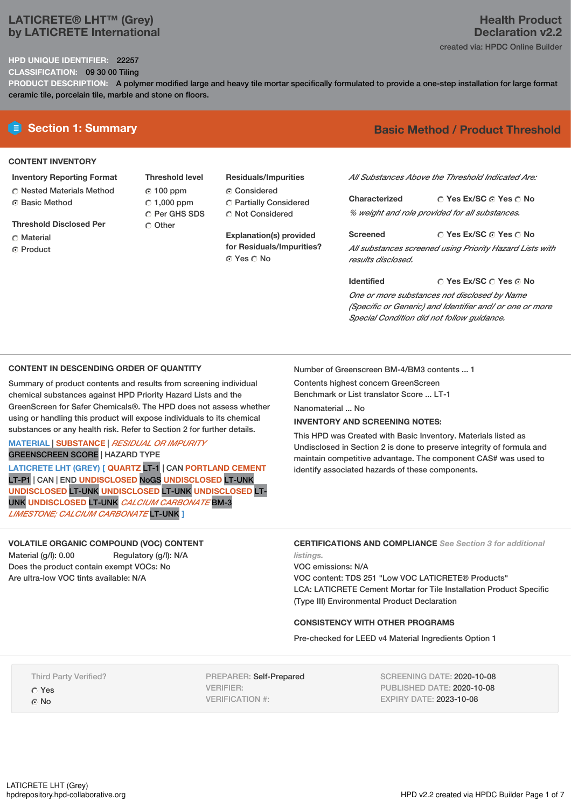# **LATICRETE® LHT™ (Grey) by LATICRETE International**

### **HPD UNIQUE IDENTIFIER:** 22257

**CLASSIFICATION:** 09 30 00 Tiling

**PRODUCT DESCRIPTION:** A polymer modified large and heavy tile mortar specifically formulated to provide a one-step installation for large format ceramic tile, porcelain tile, marble and stone on floors.

### **CONTENT INVENTORY**

- **Inventory Reporting Format**
- Nested Materials Method **G** Basic Method
- **Threshold Disclosed Per**
- C Material
- **C** Product

**Threshold level** 100 ppm  $C$  1,000 ppm C Per GHS SDS C Other

**Residuals/Impurities**

- C Considered
- Partially Considered Not Considered

**Explanation(s) provided for Residuals/Impurities?** ⊙ Yes ∩ No

# **E** Section 1: Summary **Basic Method / Product Threshold**

*All Substances Above the Threshold Indicated Are:*

**Yes Ex/SC Yes No Characterized** *% weight and role provided for all substances.*

**Yes Ex/SC Yes No Screened** *All substances screened using Priority Hazard Lists with results disclosed.*

**Identified**

### **Yes Ex/SC Yes No**

*One or more substances not disclosed by Name (Specific or Generic) and Identifier and/ or one or more Special Condition did not follow guidance.*

### **CONTENT IN DESCENDING ORDER OF QUANTITY**

Summary of product contents and results from screening individual chemical substances against HPD Priority Hazard Lists and the GreenScreen for Safer Chemicals®. The HPD does not assess whether using or handling this product will expose individuals to its chemical substances or any health risk. Refer to Section 2 for further details.

**MATERIAL** | **SUBSTANCE** | *RESIDUAL OR IMPURITY* GREENSCREEN SCORE | HAZARD TYPE

**LATICRETE LHT (GREY) [ QUARTZ** LT-1 | CAN **PORTLAND CEMENT** LT-P1 | CAN | END **UNDISCLOSED** NoGS **UNDISCLOSED** LT-UNK **UNDISCLOSED** LT-UNK **UNDISCLOSED** LT-UNK **UNDISCLOSED** LT-UNK **UNDISCLOSED** LT-UNK *CALCIUM CARBONATE* BM-3 *LIMESTONE; CALCIUM CARBONATE* LT-UNK **]**

### **VOLATILE ORGANIC COMPOUND (VOC) CONTENT**

Material (g/l): 0.00 Regulatory (g/l): N/A Does the product contain exempt VOCs: No Are ultra-low VOC tints available: N/A

Number of Greenscreen BM-4/BM3 contents ... 1

Contents highest concern GreenScreen Benchmark or List translator Score ... LT-1

Nanomaterial ... No.

*listings.*

### **INVENTORY AND SCREENING NOTES:**

This HPD was Created with Basic Inventory. Materials listed as Undisclosed in Section 2 is done to preserve integrity of formula and maintain competitive advantage. The component CAS# was used to identify associated hazards of these components.

### VOC emissions: N/A VOC content: TDS 251 "Low VOC LATICRETE® Products"

**CERTIFICATIONS AND COMPLIANCE** *See Section 3 for additional*

LCA: LATICRETE Cement Mortar for Tile Installation Product Specific (Type III) Environmental Product Declaration

### **CONSISTENCY WITH OTHER PROGRAMS**

Pre-checked for LEED v4 Material Ingredients Option 1

Third Party Verified?

Yes  $\Omega$  No

PREPARER: Self-Prepared VERIFIER: VERIFICATION #:

SCREENING DATE: 2020-10-08 PUBLISHED DATE: 2020-10-08 EXPIRY DATE: 2023-10-08

# **Health Product Declaration v2.2**

created via: HPDC Online Builder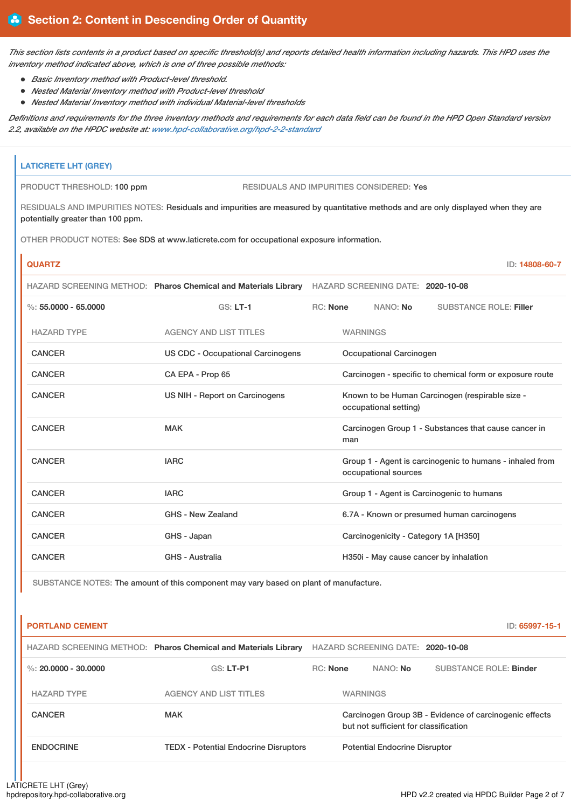This section lists contents in a product based on specific threshold(s) and reports detailed health information including hazards. This HPD uses the *inventory method indicated above, which is one of three possible methods:*

- *Basic Inventory method with Product-level threshold.*
- *Nested Material Inventory method with Product-level threshold*
- *Nested Material Inventory method with individual Material-level thresholds*

Definitions and requirements for the three inventory methods and requirements for each data field can be found in the HPD Open Standard version *2.2, available on the HPDC website at: [www.hpd-collaborative.org/hpd-2-2-standard](https://www.hpd-collaborative.org/hpd-2-2-standard)*

# **LATICRETE LHT (GREY)** PRODUCT THRESHOLD: 100 ppm RESIDUALS AND IMPURITIES CONSIDERED: Yes RESIDUALS AND IMPURITIES NOTES: Residuals and impurities are measured by quantitative methods and are only displayed when they are potentially greater than 100 ppm. OTHER PRODUCT NOTES: See SDS at www.laticrete.com for occupational exposure information. **QUARTZ** ID: **14808-60-7** HAZARD SCREENING METHOD: **Pharos Chemical and Materials Library** HAZARD SCREENING DATE: **2020-10-08** %: **55.0000 - 65.0000** GS: **LT-1** RC: **None** NANO: **No** SUBSTANCE ROLE: **Filler** HAZARD TYPE AGENCY AND LIST TITLES WARNINGS CANCER US CDC - Occupational Carcinogens Occupational Carcinogen CANCER CA EPA - Prop 65 Carcinogen - specific to chemical form or exposure route CANCER **EXAMCER** US NIH - Report on Carcinogens Known to be Human Carcinogen (respirable size occupational setting) CANCER MAK MAK Carcinogen Group 1 - Substances that cause cancer in man CANCER **IARC** IARC **GROUP 1** - Agent is carcinogenic to humans - inhaled from occupational sources CANCER **IARC** IARC **GROUP 1** - Agent is Carcinogenic to humans CANCER GHS - New Zealand 6.7A - Known or presumed human carcinogens CANCER GHS - Japan Carcinogenicity - Category 1A [H350] CANCER GHS - Australia GHS - Australia H350i - May cause cancer by inhalation

SUBSTANCE NOTES: The amount of this component may vary based on plant of manufacture.

| <b>PORTLAND CEMENT</b> |                                                                |                                                                                                 |                                      | ID: 65997-15-1                |
|------------------------|----------------------------------------------------------------|-------------------------------------------------------------------------------------------------|--------------------------------------|-------------------------------|
|                        | HAZARD SCREENING METHOD: Pharos Chemical and Materials Library |                                                                                                 | HAZARD SCREENING DATE: 2020-10-08    |                               |
| %: $20.0000 - 30.0000$ | $GS: LT-PI$                                                    | <b>RC:</b> None                                                                                 | NANO: No                             | <b>SUBSTANCE ROLE: Binder</b> |
| <b>HAZARD TYPE</b>     | <b>AGENCY AND LIST TITLES</b>                                  |                                                                                                 | <b>WARNINGS</b>                      |                               |
| <b>CANCER</b>          | <b>MAK</b>                                                     | Carcinogen Group 3B - Evidence of carcinogenic effects<br>but not sufficient for classification |                                      |                               |
| <b>ENDOCRINE</b>       | <b>TEDX - Potential Endocrine Disruptors</b>                   |                                                                                                 | <b>Potential Endocrine Disruptor</b> |                               |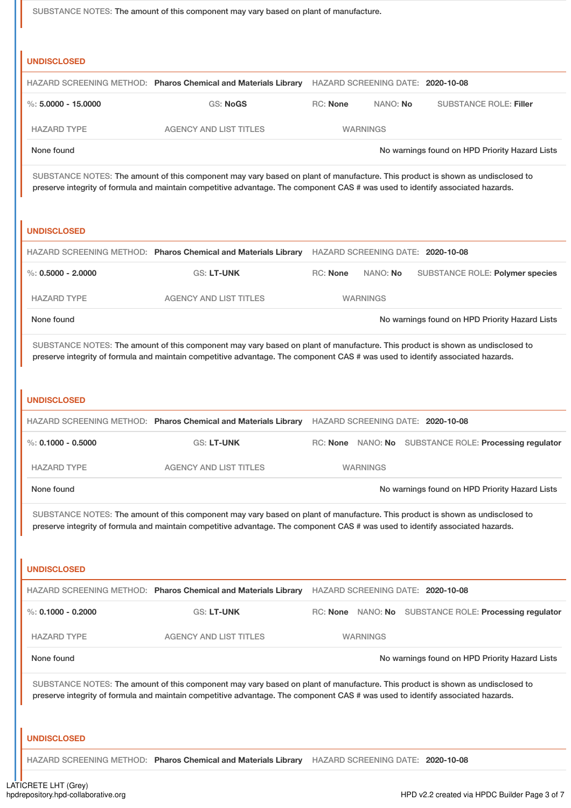|                        | SUBSTANCE NOTES: The amount of this component may vary based on plant of manufacture.                                                                                                                                                                           |                                   |                 |                                                        |  |
|------------------------|-----------------------------------------------------------------------------------------------------------------------------------------------------------------------------------------------------------------------------------------------------------------|-----------------------------------|-----------------|--------------------------------------------------------|--|
| <b>UNDISCLOSED</b>     |                                                                                                                                                                                                                                                                 |                                   |                 |                                                        |  |
|                        | HAZARD SCREENING METHOD: Pharos Chemical and Materials Library                                                                                                                                                                                                  | HAZARD SCREENING DATE: 2020-10-08 |                 |                                                        |  |
| $\%: 5.0000 - 15.0000$ | GS: NoGS                                                                                                                                                                                                                                                        | <b>RC: None</b>                   | NANO: No        | <b>SUBSTANCE ROLE: Filler</b>                          |  |
| <b>HAZARD TYPE</b>     | <b>AGENCY AND LIST TITLES</b>                                                                                                                                                                                                                                   |                                   | <b>WARNINGS</b> |                                                        |  |
| None found             |                                                                                                                                                                                                                                                                 |                                   |                 | No warnings found on HPD Priority Hazard Lists         |  |
|                        | SUBSTANCE NOTES: The amount of this component may vary based on plant of manufacture. This product is shown as undisclosed to<br>preserve integrity of formula and maintain competitive advantage. The component CAS # was used to identify associated hazards. |                                   |                 |                                                        |  |
| <b>UNDISCLOSED</b>     |                                                                                                                                                                                                                                                                 |                                   |                 |                                                        |  |
|                        | HAZARD SCREENING METHOD: Pharos Chemical and Materials Library HAZARD SCREENING DATE: 2020-10-08                                                                                                                                                                |                                   |                 |                                                        |  |
| $\%: 0.5000 - 2.0000$  | <b>GS: LT-UNK</b>                                                                                                                                                                                                                                               | <b>RC: None</b>                   | NANO: No        | SUBSTANCE ROLE: Polymer species                        |  |
| <b>HAZARD TYPE</b>     | <b>AGENCY AND LIST TITLES</b>                                                                                                                                                                                                                                   |                                   | <b>WARNINGS</b> |                                                        |  |
| None found             |                                                                                                                                                                                                                                                                 |                                   |                 | No warnings found on HPD Priority Hazard Lists         |  |
| <b>UNDISCLOSED</b>     | SUBSTANCE NOTES: The amount of this component may vary based on plant of manufacture. This product is shown as undisclosed to<br>preserve integrity of formula and maintain competitive advantage. The component CAS # was used to identify associated hazards. |                                   |                 |                                                        |  |
|                        |                                                                                                                                                                                                                                                                 |                                   |                 |                                                        |  |
|                        | HAZARD SCREENING METHOD: Pharos Chemical and Materials Library HAZARD SCREENING DATE: 2020-10-08                                                                                                                                                                |                                   |                 |                                                        |  |
| %: $0.1000 - 0.5000$   | <b>GS: LT-UNK</b>                                                                                                                                                                                                                                               |                                   |                 | RC: None NANO: No SUBSTANCE ROLE: Processing regulator |  |
| <b>HAZARD TYPE</b>     | <b>AGENCY AND LIST TITLES</b>                                                                                                                                                                                                                                   |                                   | <b>WARNINGS</b> |                                                        |  |
| None found             |                                                                                                                                                                                                                                                                 |                                   |                 | No warnings found on HPD Priority Hazard Lists         |  |
|                        | SUBSTANCE NOTES: The amount of this component may vary based on plant of manufacture. This product is shown as undisclosed to<br>preserve integrity of formula and maintain competitive advantage. The component CAS # was used to identify associated hazards. |                                   |                 |                                                        |  |
| <b>UNDISCLOSED</b>     |                                                                                                                                                                                                                                                                 |                                   |                 |                                                        |  |
|                        | HAZARD SCREENING METHOD: Pharos Chemical and Materials Library                                                                                                                                                                                                  | HAZARD SCREENING DATE: 2020-10-08 |                 |                                                        |  |
| %: $0.1000 - 0.2000$   | GS: LT-UNK                                                                                                                                                                                                                                                      |                                   |                 | RC: None NANO: No SUBSTANCE ROLE: Processing regulator |  |
| <b>HAZARD TYPE</b>     | <b>AGENCY AND LIST TITLES</b>                                                                                                                                                                                                                                   |                                   | <b>WARNINGS</b> |                                                        |  |
| None found             |                                                                                                                                                                                                                                                                 |                                   |                 | No warnings found on HPD Priority Hazard Lists         |  |
|                        | SUBSTANCE NOTES: The amount of this component may vary based on plant of manufacture. This product is shown as undisclosed to<br>preserve integrity of formula and maintain competitive advantage. The component CAS # was used to identify associated hazards. |                                   |                 |                                                        |  |
| <b>UNDISCLOSED</b>     |                                                                                                                                                                                                                                                                 |                                   |                 |                                                        |  |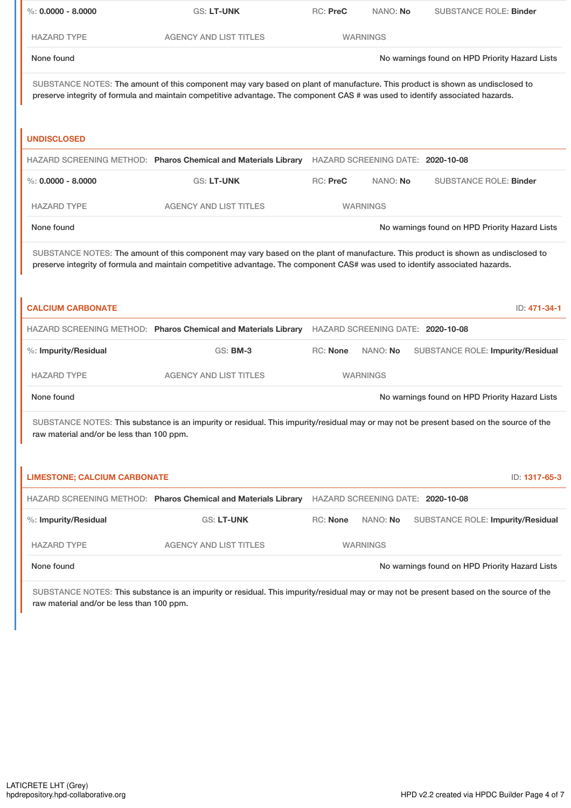|                                           | GS: LT-UNK                                                                                                                                                                                                                                                      | RC: PreC        | NANO: No                          | <b>SUBSTANCE ROLE: Binder</b>                  |
|-------------------------------------------|-----------------------------------------------------------------------------------------------------------------------------------------------------------------------------------------------------------------------------------------------------------------|-----------------|-----------------------------------|------------------------------------------------|
| <b>HAZARD TYPE</b>                        | <b>AGENCY AND LIST TITLES</b>                                                                                                                                                                                                                                   |                 | <b>WARNINGS</b>                   |                                                |
| None found                                |                                                                                                                                                                                                                                                                 |                 |                                   | No warnings found on HPD Priority Hazard Lists |
|                                           | SUBSTANCE NOTES: The amount of this component may vary based on plant of manufacture. This product is shown as undisclosed to<br>preserve integrity of formula and maintain competitive advantage. The component CAS # was used to identify associated hazards. |                 |                                   |                                                |
| <b>UNDISCLOSED</b>                        |                                                                                                                                                                                                                                                                 |                 |                                   |                                                |
|                                           | HAZARD SCREENING METHOD: Pharos Chemical and Materials Library                                                                                                                                                                                                  |                 | HAZARD SCREENING DATE: 2020-10-08 |                                                |
| $\%$ : 0.0000 - 8.0000                    | GS: LT-UNK                                                                                                                                                                                                                                                      | RC: PreC        | NANO: No                          | <b>SUBSTANCE ROLE: Binder</b>                  |
| <b>HAZARD TYPE</b>                        | <b>AGENCY AND LIST TITLES</b>                                                                                                                                                                                                                                   |                 | <b>WARNINGS</b>                   |                                                |
| None found                                |                                                                                                                                                                                                                                                                 |                 |                                   | No warnings found on HPD Priority Hazard Lists |
|                                           | SUBSTANCE NOTES: The amount of this component may vary based on the plant of manufacture. This product is shown as undisclosed to                                                                                                                               |                 |                                   |                                                |
| <b>CALCIUM CARBONATE</b>                  | preserve integrity of formula and maintain competitive advantage. The component CAS# was used to identify associated hazards.                                                                                                                                   |                 |                                   | ID: 471-34-1                                   |
|                                           | HAZARD SCREENING METHOD: Pharos Chemical and Materials Library                                                                                                                                                                                                  |                 | HAZARD SCREENING DATE: 2020-10-08 |                                                |
|                                           | <b>GS: BM-3</b>                                                                                                                                                                                                                                                 | <b>RC: None</b> | NANO: No                          |                                                |
| <b>HAZARD TYPE</b>                        | <b>AGENCY AND LIST TITLES</b>                                                                                                                                                                                                                                   |                 | <b>WARNINGS</b>                   | SUBSTANCE ROLE: Impurity/Residual              |
| %: Impurity/Residual<br>None found        |                                                                                                                                                                                                                                                                 |                 |                                   | No warnings found on HPD Priority Hazard Lists |
| raw material and/or be less than 100 ppm. | SUBSTANCE NOTES: This substance is an impurity or residual. This impurity/residual may or may not be present based on the source of the                                                                                                                         |                 |                                   |                                                |
| <b>LIMESTONE; CALCIUM CARBONATE</b>       |                                                                                                                                                                                                                                                                 |                 |                                   |                                                |
|                                           | HAZARD SCREENING METHOD: Pharos Chemical and Materials Library                                                                                                                                                                                                  |                 | HAZARD SCREENING DATE: 2020-10-08 | ID: 1317-65-3                                  |
| %: Impurity/Residual                      | <b>GS: LT-UNK</b>                                                                                                                                                                                                                                               | <b>RC: None</b> | NANO: No                          |                                                |
| <b>HAZARD TYPE</b>                        | <b>AGENCY AND LIST TITLES</b>                                                                                                                                                                                                                                   |                 | <b>WARNINGS</b>                   | <b>SUBSTANCE ROLE: Impurity/Residual</b>       |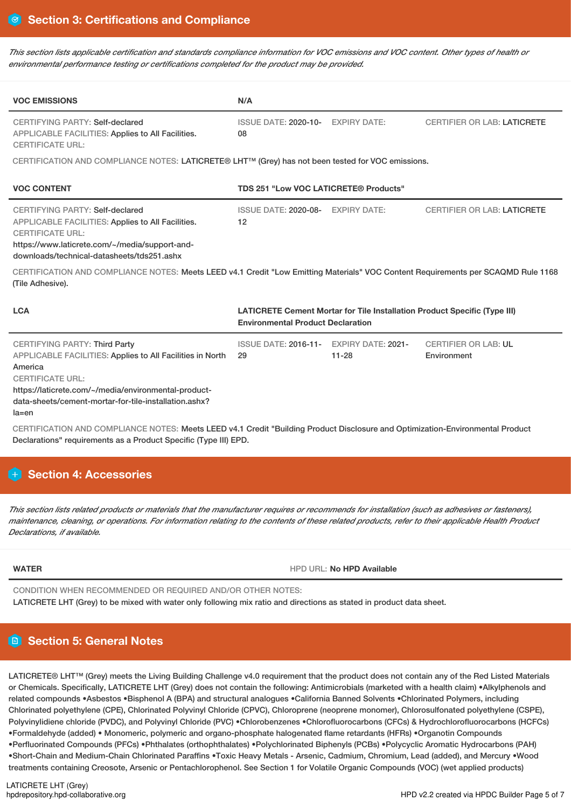This section lists applicable certification and standards compliance information for VOC emissions and VOC content. Other types of health or *environmental performance testing or certifications completed for the product may be provided.*

| <b>VOC EMISSIONS</b>                                                                                                                                                                                                                                                                                                                                        | N/A                                                                                                                          |           |                                            |  |  |
|-------------------------------------------------------------------------------------------------------------------------------------------------------------------------------------------------------------------------------------------------------------------------------------------------------------------------------------------------------------|------------------------------------------------------------------------------------------------------------------------------|-----------|--------------------------------------------|--|--|
| <b>CERTIFYING PARTY: Self-declared</b><br>APPLICABLE FACILITIES: Applies to All Facilities.<br><b>CERTIFICATE URL:</b>                                                                                                                                                                                                                                      | ISSUE DATE: 2020-10- EXPIRY DATE:<br>08                                                                                      |           | <b>CERTIFIER OR LAB: LATICRETE</b>         |  |  |
|                                                                                                                                                                                                                                                                                                                                                             | CERTIFICATION AND COMPLIANCE NOTES: LATICRETE® LHT™ (Grey) has not been tested for VOC emissions.                            |           |                                            |  |  |
| <b>VOC CONTENT</b>                                                                                                                                                                                                                                                                                                                                          | <b>TDS 251 "Low VOC LATICRETE® Products"</b>                                                                                 |           |                                            |  |  |
| <b>CERTIFYING PARTY: Self-declared</b><br>APPLICABLE FACILITIES: Applies to All Facilities.<br><b>CERTIFICATE URL:</b><br>https://www.laticrete.com/~/media/support-and-<br>downloads/technical-datasheets/tds251.ashx<br>CERTIFICATION AND COMPLIANCE NOTES: Meets LEED v4.1 Credit "Low Emitting Materials" VOC Content Requirements per SCAQMD Rule 1168 | ISSUE DATE: 2020-08- EXPIRY DATE:<br>12                                                                                      |           | <b>CERTIFIER OR LAB: LATICRETE</b>         |  |  |
| (Tile Adhesive).                                                                                                                                                                                                                                                                                                                                            |                                                                                                                              |           |                                            |  |  |
| <b>LCA</b>                                                                                                                                                                                                                                                                                                                                                  | <b>LATICRETE Cement Mortar for Tile Installation Product Specific (Type III)</b><br><b>Environmental Product Declaration</b> |           |                                            |  |  |
| <b>CERTIFYING PARTY: Third Party</b><br><b>APPLICABLE FACILITIES: Applies to All Facilities in North</b><br>America<br><b>CERTIFICATE URL:</b><br>https://laticrete.com/~/media/environmental-product-<br>data-sheets/cement-mortar-for-tile-installation.ashx?<br>la=en                                                                                    | ISSUE DATE: 2016-11- EXPIRY DATE: 2021-<br>29                                                                                | $11 - 28$ | <b>CERTIFIER OR LAB: UL</b><br>Environment |  |  |

CERTIFICATION AND COMPLIANCE NOTES: Meets LEED v4.1 Credit "Building Product Disclosure and Optimization-Environmental Product Declarations" requirements as a Product Specific (Type III) EPD.

# **H** Section 4: Accessories

This section lists related products or materials that the manufacturer requires or recommends for installation (such as adhesives or fasteners), maintenance, cleaning, or operations. For information relating to the contents of these related products, refer to their applicable Health Product *Declarations, if available.*

**WATER** HPD URL: **No HPD Available**

CONDITION WHEN RECOMMENDED OR REQUIRED AND/OR OTHER NOTES: LATICRETE LHT (Grey) to be mixed with water only following mix ratio and directions as stated in product data sheet.

# **Section 5: General Notes**

LATICRETE® LHT™ (Grey) meets the Living Building Challenge v4.0 requirement that the product does not contain any of the Red Listed Materials or Chemicals. Specifically, LATICRETE LHT (Grey) does not contain the following: Antimicrobials (marketed with a health claim) •Alkylphenols and related compounds •Asbestos •Bisphenol A (BPA) and structural analogues •California Banned Solvents •Chlorinated Polymers, including Chlorinated polyethylene (CPE), Chlorinated Polyvinyl Chloride (CPVC), Chloroprene (neoprene monomer), Chlorosulfonated polyethylene (CSPE), Polyvinylidiene chloride (PVDC), and Polyvinyl Chloride (PVC) •Chlorobenzenes •Chlorofluorocarbons (CFCs) & Hydrochlorofluorocarbons (HCFCs) •Formaldehyde (added) • Monomeric, polymeric and organo-phosphate halogenated flame retardants (HFRs) •Organotin Compounds •Perfluorinated Compounds (PFCs) •Phthalates (orthophthalates) •Polychlorinated Biphenyls (PCBs) •Polycyclic Aromatic Hydrocarbons (PAH) •Short-Chain and Medium-Chain Chlorinated Paraffins •Toxic Heavy Metals - Arsenic, Cadmium, Chromium, Lead (added), and Mercury •Wood treatments containing Creosote, Arsenic or Pentachlorophenol. See Section 1 for Volatile Organic Compounds (VOC) (wet applied products)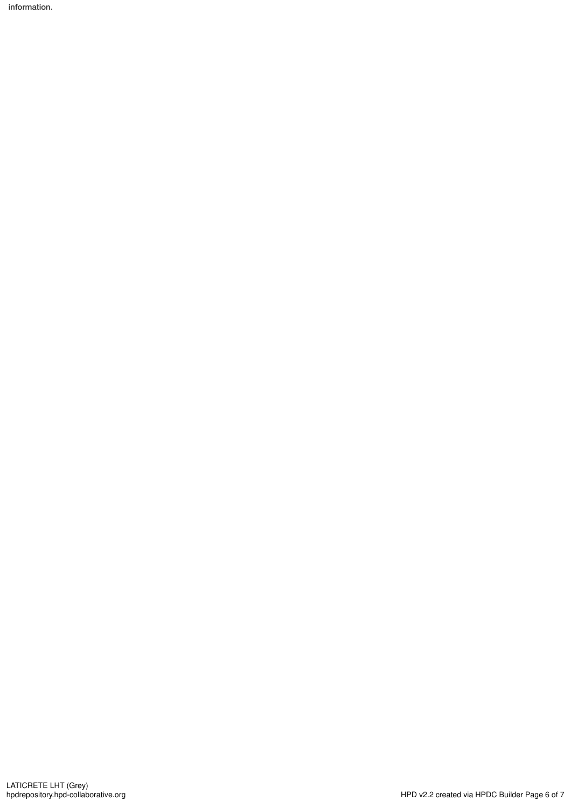information.